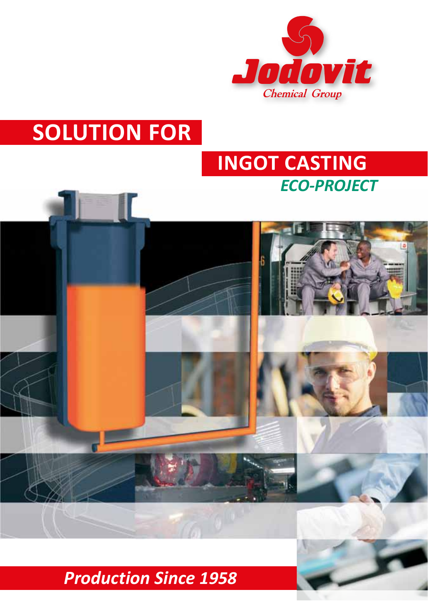

# **SOLUTION FOR**

# *ECO-PROJECT* **INGOT CASTING**



# *Production Since 1958*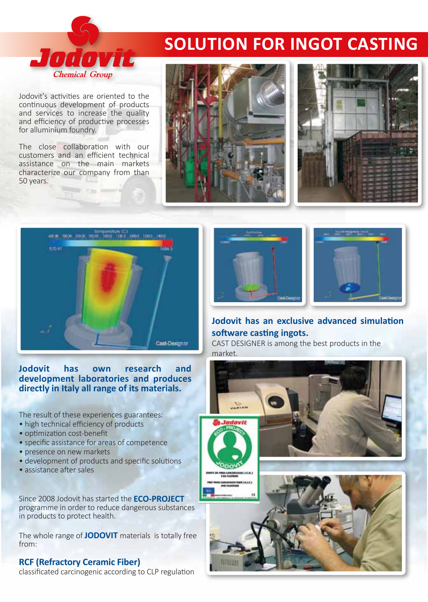# **SOLUTION FOR INGOT CASTING**

Jodovit's activities are oriented to the continuous development of products and services to increase the quality and efficiency of productive processes for alluminium foundry.

Jodović

**Chemical Group** 

The close collaboration with our customers and an efficient technical assistance on the main markets characterize our company from than 50 years.







**Jodovit has own research and development laboratories and produces directly in Italy all range of its materials.**

The result of these experiences guarantees:

- high technical efficiency of products
- optimization cost-benefit
- specific assistance for areas of competence
- presence on new markets
- development of products and specific solutions
- assistance after sales

Since 2008 Jodovit has started the **ECO-PROJECT** programme in order to reduce dangerous substances in products to protect health.

The whole range of **JODOVIT** materials is totally free from:

#### **RCF (Refractory Ceramic Fiber)**

classificated carcinogenic according to CLP regulation





#### **Jodovit has an exclusive advanced simulation software casting ingots.**

CAST DESIGNER is among the best products in the market.

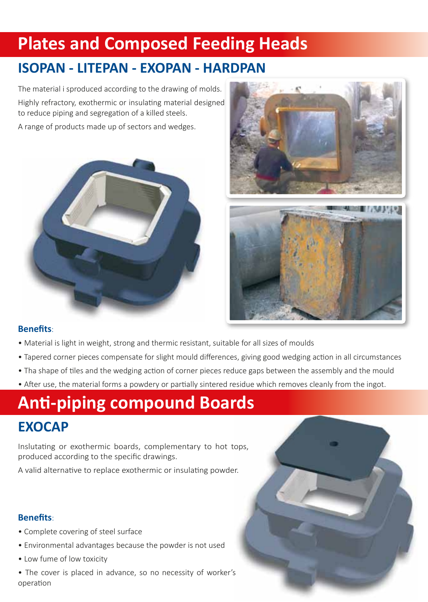# **Plates and Composed Feeding Heads**

## **ISOPAN - LITEPAN - EXOPAN - HARDPAN**

The material i sproduced according to the drawing of molds. Highly refractory, exothermic or insulating material designed to reduce piping and segregation of a killed steels.

A range of products made up of sectors and wedges.





#### **Benefits**:

- Material is light in weight, strong and thermic resistant, suitable for all sizes of moulds
- Tapered corner pieces compensate for slight mould differences, giving good wedging action in all circumstances
- Tha shape of tiles and the wedging action of corner pieces reduce gaps between the assembly and the mould
- After use, the material forms a powdery or partially sintered residue which removes cleanly from the ingot.

# **Anti-piping compound Boards EXOCAP**

Inslutating or exothermic boards, complementary to hot tops, produced according to the specific drawings.

A valid alternative to replace exothermic or insulating powder.

#### **Benefits**:

- Complete covering of steel surface
- Environmental advantages because the powder is not used
- Low fume of low toxicity
- The cover is placed in advance, so no necessity of worker's operation

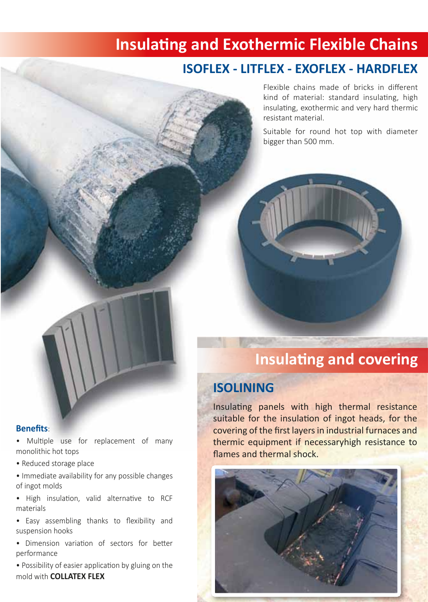# **Insulating and Exothermic Flexible Chains**

### **ISOFLEX - LITFLEX - EXOFLEX - HARDFLEX**

Flexible chains made of bricks in different kind of material: standard insulating, high insulating, exothermic and very hard thermic resistant material.

Suitable for round hot top with diameter bigger than 500 mm.



## **Insulating and covering**

### **ISOLINING**

Insulating panels with high thermal resistance suitable for the insulation of ingot heads, for the covering of the first layers in industrial furnaces and thermic equipment if necessaryhigh resistance to flames and thermal shock.



**Benefits**:

• Multiple use for replacement of many monolithic hot tops

• Reduced storage place

• Immediate availability for any possible changes of ingot molds

• High insulation, valid alternative to RCF materials

• Easy assembling thanks to flexibility and suspension hooks

• Dimension variation of sectors for better performance

• Possibility of easier application by gluing on the mold with **COLLATEX FLEX**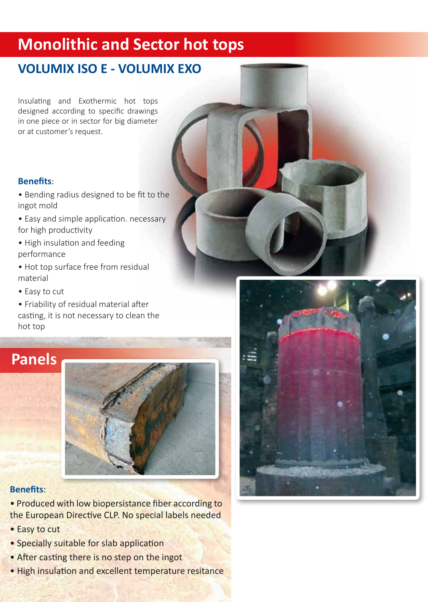# **Monolithic and Sector hot tops**

## **VOLUMIX ISO E - VOLUMIX EXO**

Insulating and Exothermic hot tops designed according to specific drawings in one piece or in sector for big diameter or at customer's request.

### **Benefits**:

- Bending radius designed to be fit to the ingot mold
- Easy and simple application. necessary for high productivity
- High insulation and feeding performance
- Hot top surface free from residual material
- Easy to cut
- Friability of residual material after casting, it is not necessary to clean the hot top

# **Panels**



#### **Benefits**:

• Produced with low biopersistance fiber according to the European Directive CLP. No special labels needed

- Easy to cut
- Specially suitable for slab application
- After casting there is no step on the ingot
- High insulation and excellent temperature resitance

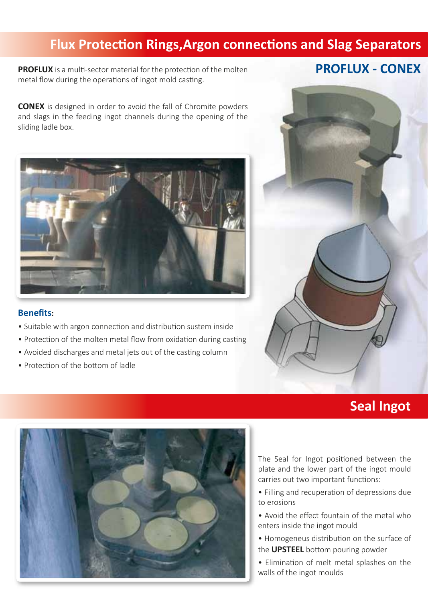## **Flux Protection Rings,Argon connections and Slag Separators**

**PROFLUX** is a multi-sector material for the protection of the molten metal flow during the operations of ingot mold casting.

### **PROFLUX - CONEX**

**CONEX** is designed in order to avoid the fall of Chromite powders and slags in the feeding ingot channels during the opening of the sliding ladle box.



#### **Benefits:**

- Suitable with argon connection and distribution sustem inside
- Protection of the molten metal flow from oxidation during casting
- Avoided discharges and metal jets out of the casting column
- Protection of the bottom of ladle



### **Seal Ingot**



The Seal for Ingot positioned between the plate and the lower part of the ingot mould carries out two important functions:

- Filling and recuperation of depressions due to erosions
- Avoid the effect fountain of the metal who enters inside the ingot mould
- Homogeneus distribution on the surface of the **UPSTEEL** bottom pouring powder
- Elimination of melt metal splashes on the walls of the ingot moulds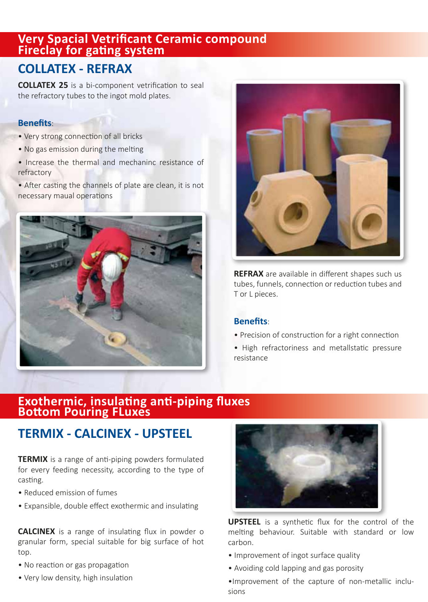### **Very Spacial Vetrificant Ceramic compound Fireclay for gating system**

### **COLLATEX - REFRAX**

**COLLATEX 25** is a bi-component vetrification to seal the refractory tubes to the ingot mold plates.

#### **Benefits**:

- Very strong connection of all bricks
- No gas emission during the melting
- Increase the thermal and mechaninc resistance of refractory

• After casting the channels of plate are clean, it is not necessary maual operations





**REFRAX** are available in different shapes such us tubes, funnels, connection or reduction tubes and T or L pieces.

#### **Benefits**:

• Precision of construction for a right connection

• High refractoriness and metallstatic pressure resistance

### **Exothermic, insulating anti-piping fluxes Bottom Pouring FLuxes**

### **TERMIX - CALCINEX - UPSTEEL**

**TERMIX** is a range of anti-piping powders formulated for every feeding necessity, according to the type of casting.

- Reduced emission of fumes
- Expansible, double effect exothermic and insulating

**CALCINEX** is a range of insulating flux in powder o granular form, special suitable for big surface of hot top.

- No reaction or gas propagation
- Very low density, high insulation



**UPSTEEL** is a synthetic flux for the control of the melting behaviour. Suitable with standard or low carbon.

- Improvement of ingot surface quality
- Avoiding cold lapping and gas porosity

•Improvement of the capture of non-metallic inclusions